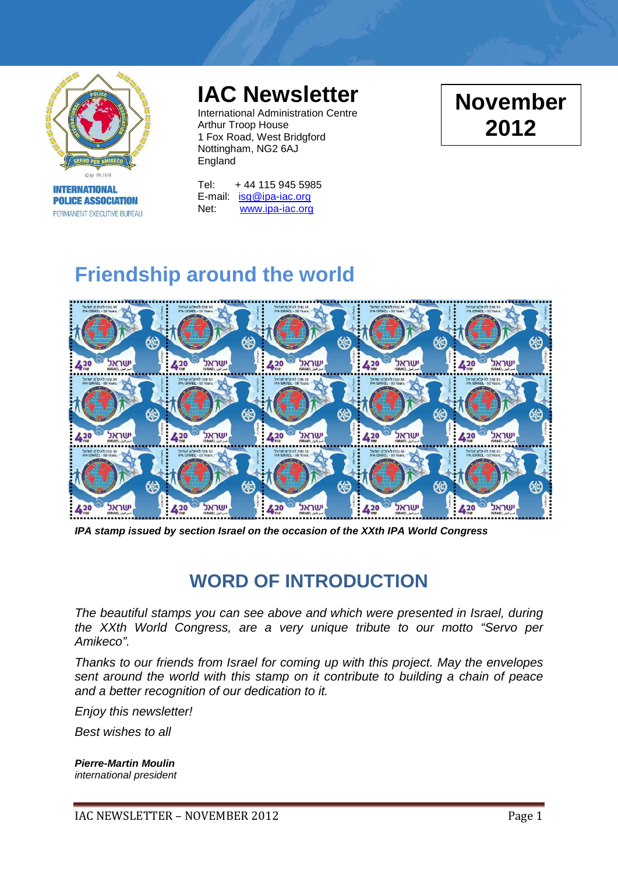

**INTERNATIONAL POLICE ASSOCIATION** PERMANENT EXECUTIVE BUREAU

# **IAC Newsletter**

International Administration Centre Arthur Troop House 1 Fox Road, West Bridgford Nottingham, NG2 6AJ England

Tel: + 44 115 945 5985 E-mail: [isg@ipa-iac.org](mailto:isg@ipa-iac.org) Net: [www.ipa-iac.org](http://www.ipa-iac.org/)

# **Friendship around the world**



*IPA stamp issued by section Israel on the occasion of the XXth IPA World Congress*

## **WORD OF INTRODUCTION**

*The beautiful stamps you can see above and which were presented in Israel, during the XXth World Congress, are a very unique tribute to our motto "Servo per Amikeco".* 

*Thanks to our friends from Israel for coming up with this project. May the envelopes sent around the world with this stamp on it contribute to building a chain of peace and a better recognition of our dedication to it.*

*Enjoy this newsletter!*

*Best wishes to all*

*Pierre-Martin Moulin international president*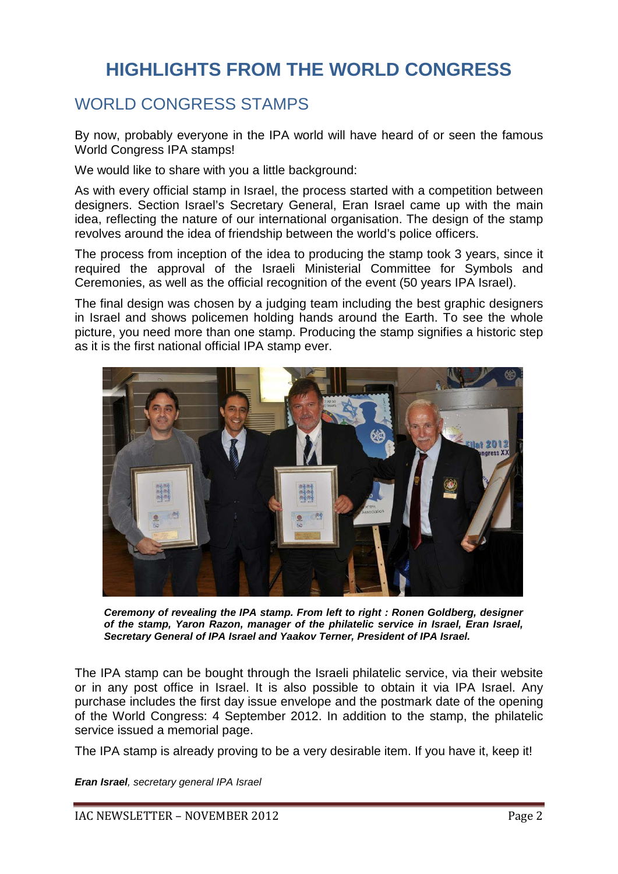## **HIGHLIGHTS FROM THE WORLD CONGRESS**

#### WORLD CONGRESS STAMPS

By now, probably everyone in the IPA world will have heard of or seen the famous World Congress IPA stamps!

We would like to share with you a little background:

As with every official stamp in Israel, the process started with a competition between designers. Section Israel's Secretary General, Eran Israel came up with the main idea, reflecting the nature of our international organisation. The design of the stamp revolves around the idea of friendship between the world's police officers.

The process from inception of the idea to producing the stamp took 3 years, since it required the approval of the Israeli Ministerial Committee for Symbols and Ceremonies, as well as the official recognition of the event (50 years IPA Israel).

The final design was chosen by a judging team including the best graphic designers in Israel and shows policemen holding hands around the Earth. To see the whole picture, you need more than one stamp. Producing the stamp signifies a historic step as it is the first national official IPA stamp ever.



*Ceremony of revealing the IPA stamp. From left to right : Ronen Goldberg, designer of the stamp, Yaron Razon, manager of the philatelic service in Israel, Eran Israel, Secretary General of IPA Israel and Yaakov Terner, President of IPA Israel.* 

The IPA stamp can be bought through the Israeli philatelic service, via their website or in any post office in Israel. It is also possible to obtain it via IPA Israel. Any purchase includes the first day issue envelope and the postmark date of the opening of the World Congress: 4 September 2012. In addition to the stamp, the philatelic service issued a memorial page.

The IPA stamp is already proving to be a very desirable item. If you have it, keep it!

*Eran Israel, secretary general IPA Israel*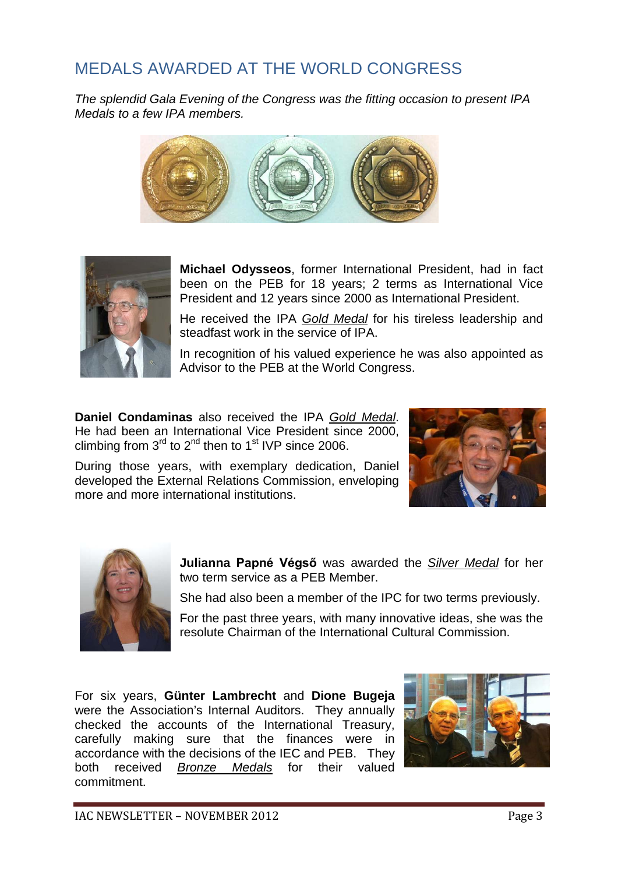## MEDALS AWARDED AT THE WORLD CONGRESS

*The splendid Gala Evening of the Congress was the fitting occasion to present IPA Medals to a few IPA members.* 





**Michael Odysseos**, former International President, had in fact been on the PEB for 18 years; 2 terms as International Vice President and 12 years since 2000 as International President.

He received the IPA *Gold Medal* for his tireless leadership and steadfast work in the service of IPA

In recognition of his valued experience he was also appointed as Advisor to the PEB at the World Congress.

**Daniel Condaminas** also received the IPA *Gold Medal*. He had been an International Vice President since 2000, climbing from  $3<sup>rd</sup>$  to  $2<sup>nd</sup>$  then to  $1<sup>st</sup>$  IVP since 2006.

During those years, with exemplary dedication, Daniel developed the External Relations Commission, enveloping more and more international institutions.





**Julianna Papné Végső** was awarded the *Silver Medal* for her two term service as a PEB Member.

She had also been a member of the IPC for two terms previously.

For the past three years, with many innovative ideas, she was the resolute Chairman of the International Cultural Commission.

For six years, **Günter Lambrecht** and **Dione Bugeja** were the Association's Internal Auditors. They annually checked the accounts of the International Treasury, carefully making sure that the finances were in accordance with the decisions of the IEC and PEB. They both received *Bronze Medals* for their valued commitment.

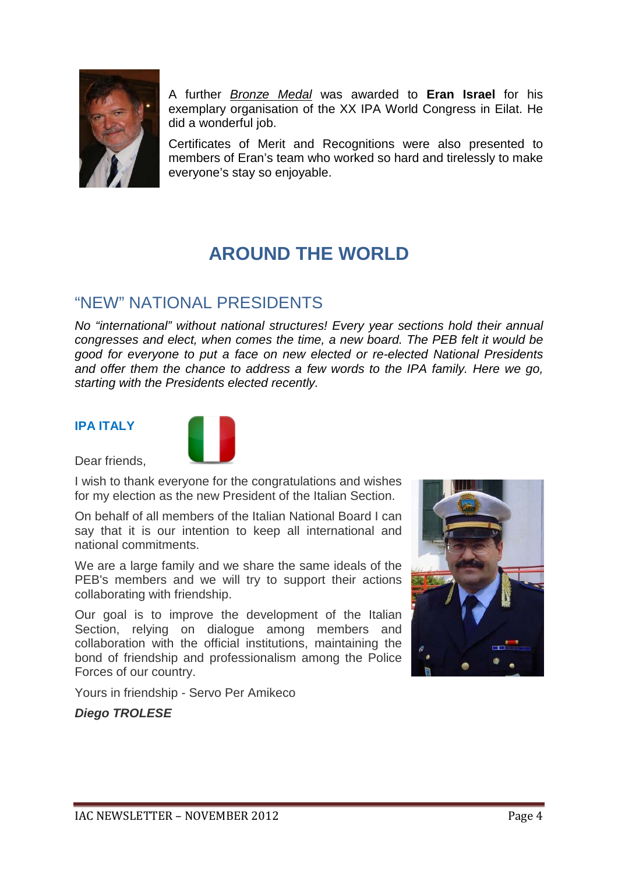

A further *Bronze Medal* was awarded to **Eran Israel** for his exemplary organisation of the XX IPA World Congress in Eilat. He did a wonderful job.

Certificates of Merit and Recognitions were also presented to members of Eran's team who worked so hard and tirelessly to make everyone's stay so enjoyable.

## **AROUND THE WORLD**

#### "NEW" NATIONAL PRESIDENTS

*No "international" without national structures! Every year sections hold their annual congresses and elect, when comes the time, a new board. The PEB felt it would be good for everyone to put a face on new elected or re-elected National Presidents and offer them the chance to address a few words to the IPA family. Here we go, starting with the Presidents elected recently.*

#### **IPA ITALY**



Dear friends,

I wish to thank everyone for the congratulations and wishes for my election as the new President of the Italian Section.

On behalf of all members of the Italian National Board I can say that it is our intention to keep all international and national commitments.

We are a large family and we share the same ideals of the PEB's members and we will try to support their actions collaborating with friendship.

Our goal is to improve the development of the Italian Section, relying on dialogue among members and collaboration with the official institutions, maintaining the bond of friendship and professionalism among the Police Forces of our country.

Yours in friendship - Servo Per Amikeco

#### *Diego TROLESE*

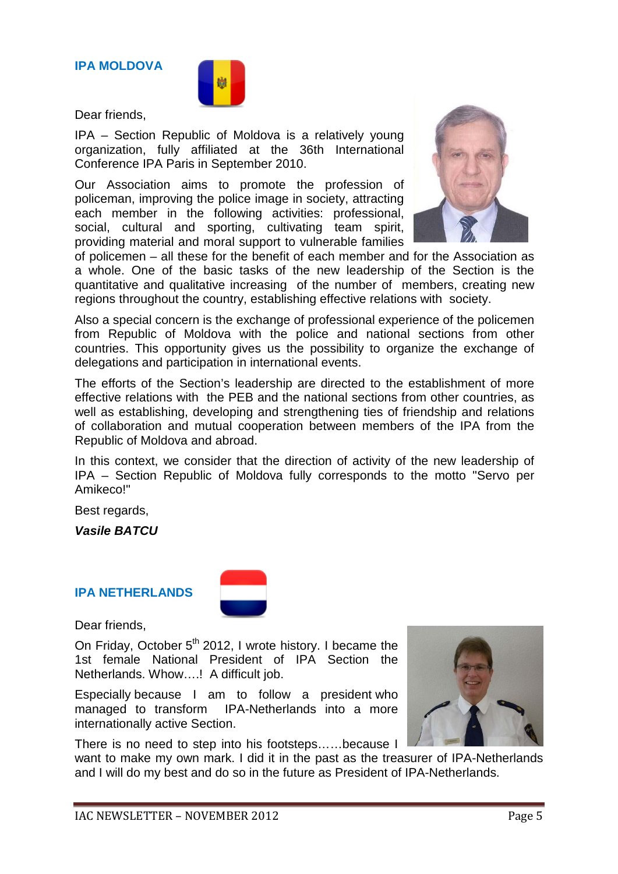**IPA MOLDOVA**

Dear friends,

IPA – Section Republic of Moldova is a relatively young organization, fully affiliated at the 36th International Conference IPA Paris in September 2010.

Our Association aims to promote the profession of policeman, improving the police image in society, attracting each member in the following activities: professional, social, cultural and sporting, cultivating team spirit, providing material and moral support to vulnerable families



of policemen – all these for the benefit of each member and for the Association as a whole. One of the basic tasks of the new leadership of the Section is the quantitative and qualitative increasing of the number of members, creating new regions throughout the country, establishing effective relations with society.

Also a special concern is the exchange of professional experience of the policemen from Republic of Moldova with the police and national sections from other countries. This opportunity gives us the possibility to organize the exchange of delegations and participation in international events.

The efforts of the Section's leadership are directed to the establishment of more effective relations with the PEB and the national sections from other countries, as well as establishing, developing and strengthening ties of friendship and relations of collaboration and mutual cooperation between members of the IPA from the Republic of Moldova and abroad.

In this context, we consider that the direction of activity of the new leadership of IPA – Section Republic of Moldova fully corresponds to the motto "Servo per Amikeco!"

Best regards,

*Vasile BATCU*

#### **IPA NETHERLANDS**



Dear friends,

On Friday, October  $5<sup>th</sup>$  2012, I wrote history. I became the 1st female National President of IPA Section the Netherlands. Whow….! A difficult job.

Especially because I am to follow a president who managed to transform IPA-Netherlands into a more internationally active Section.



There is no need to step into his footsteps……because I

want to make my own mark. I did it in the past as the treasurer of IPA-Netherlands and I will do my best and do so in the future as President of IPA-Netherlands.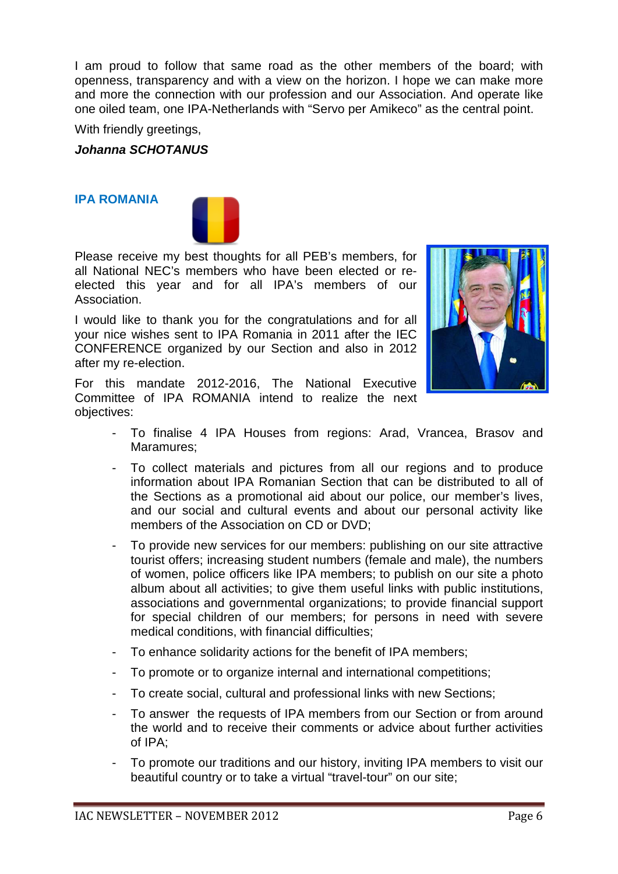I am proud to follow that same road as the other members of the board; with openness, transparency and with a view on the horizon. I hope we can make more and more the connection with our profession and our Association. And operate like one oiled team, one IPA-Netherlands with "Servo per Amikeco" as the central point.

With friendly greetings,

*Johanna SCHOTANUS*

#### **IPA ROMANIA**



Please receive my best thoughts for all PEB's members, for all National NEC's members who have been elected or reelected this year and for all IPA's members of our Association.

I would like to thank you for the congratulations and for all your nice wishes sent to IPA Romania in 2011 after the IEC CONFERENCE organized by our Section and also in 2012 after my re-election.



For this mandate 2012-2016, The National Executive Committee of IPA ROMANIA intend to realize the next objectives:

- To finalise 4 IPA Houses from regions: Arad, Vrancea, Brasov and Maramures;
- To collect materials and pictures from all our regions and to produce information about IPA Romanian Section that can be distributed to all of the Sections as a promotional aid about our police, our member's lives, and our social and cultural events and about our personal activity like members of the Association on CD or DVD;
- To provide new services for our members: publishing on our site attractive tourist offers; increasing student numbers (female and male), the numbers of women, police officers like IPA members; to publish on our site a photo album about all activities; to give them useful links with public institutions, associations and governmental organizations; to provide financial support for special children of our members; for persons in need with severe medical conditions, with financial difficulties;
- To enhance solidarity actions for the benefit of IPA members;
- To promote or to organize internal and international competitions;
- To create social, cultural and professional links with new Sections;
- To answer the requests of IPA members from our Section or from around the world and to receive their comments or advice about further activities of IPA;
- To promote our traditions and our history, inviting IPA members to visit our beautiful country or to take a virtual "travel-tour" on our site;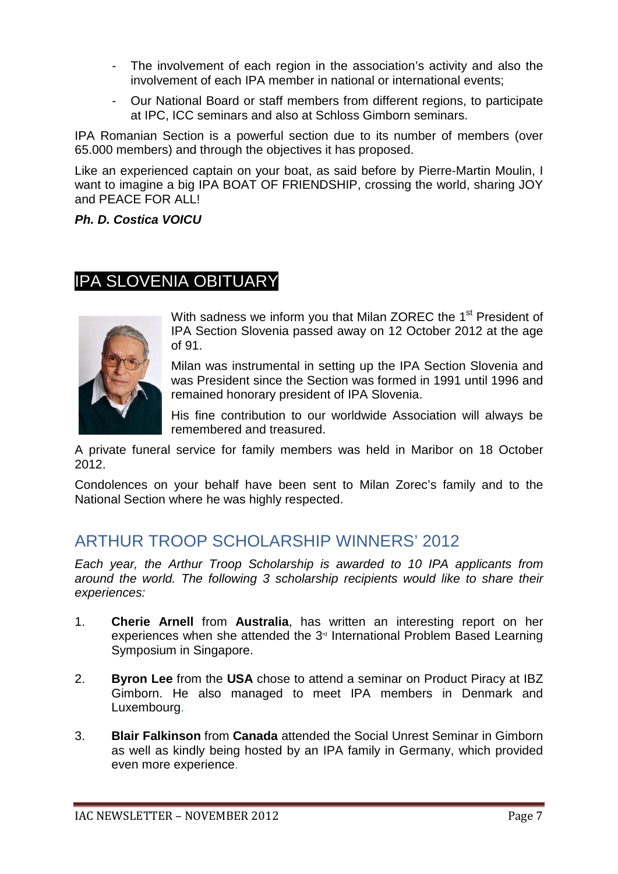- The involvement of each region in the association's activity and also the involvement of each IPA member in national or international events;
- Our National Board or staff members from different regions, to participate at IPC, ICC seminars and also at Schloss Gimborn seminars.

IPA Romanian Section is a powerful section due to its number of members (over 65.000 members) and through the objectives it has proposed.

Like an experienced captain on your boat, as said before by Pierre-Martin Moulin, I want to imagine a big IPA BOAT OF FRIENDSHIP, crossing the world, sharing JOY and PEACE FOR ALL!

*Ph. D. Costica VOICU*

#### IPA SLOVENIA OBITUARY



With sadness we inform you that Milan ZOREC the 1<sup>st</sup> President of IPA Section Slovenia passed away on 12 October 2012 at the age of 91.

Milan was instrumental in setting up the IPA Section Slovenia and was President since the Section was formed in 1991 until 1996 and remained honorary president of IPA Slovenia.

His fine contribution to our worldwide Association will always be remembered and treasured.

A private funeral service for family members was held in Maribor on 18 October 2012.

Condolences on your behalf have been sent to Milan Zorec's family and to the National Section where he was highly respected.

#### ARTHUR TROOP SCHOLARSHIP WINNERS' 2012

*Each year, the Arthur Troop Scholarship is awarded to 10 IPA applicants from around the world. The following 3 scholarship recipients would like to share their experiences:*

- 1. **Cherie Arnell** from **Australia**, has written an interesting report on her experiences when she attended the  $3<sup>d</sup>$  International Problem Based Learning Symposium in Singapore.
- 2. **Byron Lee** from the **USA** chose to attend a seminar on Product Piracy at IBZ Gimborn. He also managed to meet IPA members in Denmark and Luxembourg.
- 3. **Blair Falkinson** from **Canada** attended the Social Unrest Seminar in Gimborn as well as kindly being hosted by an IPA family in Germany, which provided even more experience.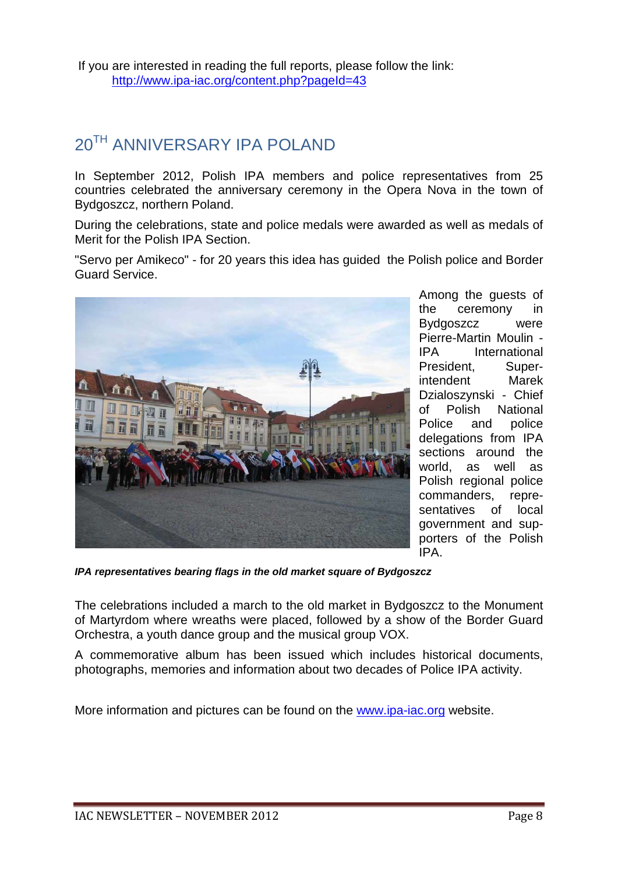## 20TH ANNIVERSARY IPA POLAND

In September 2012, Polish IPA members and police representatives from 25 countries celebrated the anniversary ceremony in the Opera Nova in the town of Bydgoszcz, northern Poland.

During the celebrations, state and police medals were awarded as well as medals of Merit for the Polish IPA Section.

"Servo per Amikeco" - for 20 years this idea has guided the Polish police and Border Guard Service.



Among the guests of the ceremony in Bydgoszcz were Pierre-Martin Moulin - IPA International President, Superintendent Marek Dzialoszynski - Chief of Polish National Police and police delegations from IPA sections around the world, as well as Polish regional police commanders, representatives of local government and supporters of the Polish IPA.

*IPA representatives bearing flags in the old market square of Bydgoszcz*

The celebrations included a march to the old market in Bydgoszcz to the Monument of Martyrdom where wreaths were placed, followed by a show of the Border Guard Orchestra, a youth dance group and the musical group VOX.

A commemorative album has been issued which includes historical documents, photographs, memories and information about two decades of Police IPA activity.

More information and pictures can be found on the [www.ipa-iac.org](http://www.ipa-iac.org/) website.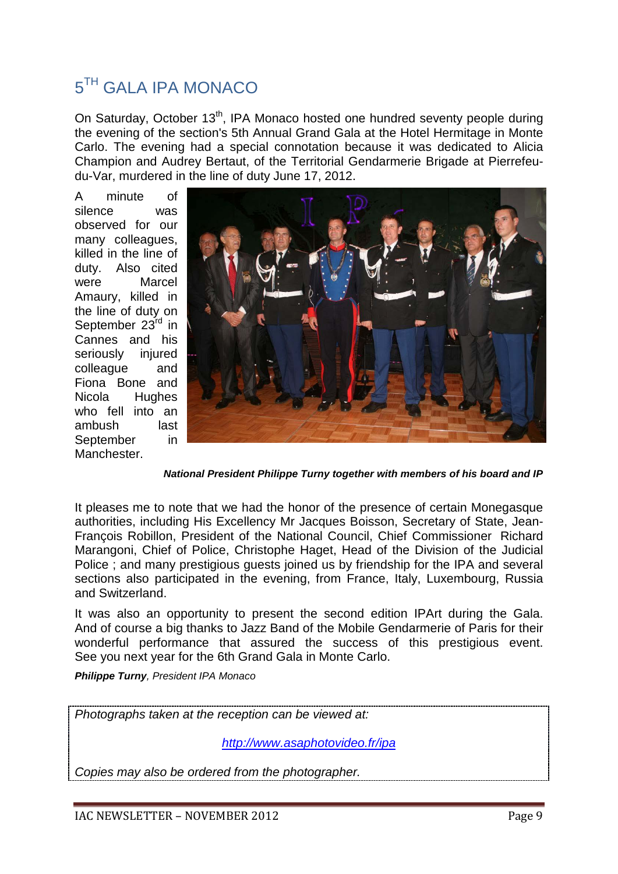### 5<sup>TH</sup> GALA IPA MONACO

On Saturday, October 13<sup>th</sup>, IPA Monaco hosted one hundred seventy people during the evening of the section's 5th Annual Grand Gala at the Hotel Hermitage in Monte Carlo. The evening had a special connotation because it was dedicated to Alicia Champion and Audrey Bertaut, of the Territorial Gendarmerie Brigade at Pierrefeudu-Var, murdered in the line of duty June 17, 2012.

A minute of silence was observed for our many colleagues, killed in the line of duty. Also cited were Marcel Amaury, killed in the line of duty on September 23<sup>rd</sup> in Cannes and his seriously injured colleague and Fiona Bone and Nicola Hughes who fell into an ambush last September in Manchester.



*National President Philippe Turny together with members of his board and IP*

It pleases me to note that we had the honor of the presence of certain Monegasque authorities, including His Excellency Mr Jacques Boisson, Secretary of State, Jean-François Robillon, President of the National Council, Chief Commissioner Richard Marangoni, Chief of Police, Christophe Haget, Head of the Division of the Judicial Police ; and many prestigious guests joined us by friendship for the IPA and several sections also participated in the evening, from France, Italy, Luxembourg, Russia and Switzerland.

It was also an opportunity to present the second edition IPArt during the Gala. And of course a big thanks to Jazz Band of the Mobile Gendarmerie of Paris for their wonderful performance that assured the success of this prestigious event. See you next year for the 6th Grand Gala in Monte Carlo.

*Philippe Turny, President IPA Monaco*

*Photographs taken at the reception can be viewed at:* 

*<http://www.asaphotovideo.fr/ipa>*

*Copies may also be ordered from the photographer.*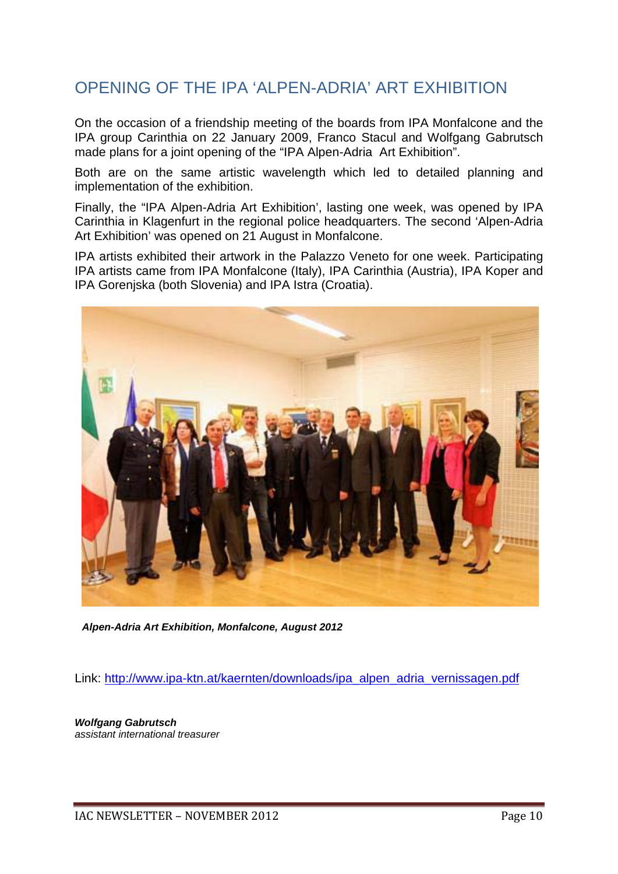### OPENING OF THE IPA 'ALPEN-ADRIA' ART EXHIBITION

On the occasion of a friendship meeting of the boards from IPA Monfalcone and the IPA group Carinthia on 22 January 2009, Franco Stacul and Wolfgang Gabrutsch made plans for a joint opening of the "IPA Alpen-Adria Art Exhibition".

Both are on the same artistic wavelength which led to detailed planning and implementation of the exhibition.

Finally, the "IPA Alpen-Adria Art Exhibition', lasting one week, was opened by IPA Carinthia in Klagenfurt in the regional police headquarters. The second 'Alpen-Adria Art Exhibition' was opened on 21 August in Monfalcone.

IPA artists exhibited their artwork in the Palazzo Veneto for one week. Participating IPA artists came from IPA Monfalcone (Italy), IPA Carinthia (Austria), IPA Koper and IPA Gorenjska (both Slovenia) and IPA Istra (Croatia).



*Alpen-Adria Art Exhibition, Monfalcone, August 2012*

Link: [http://www.ipa-ktn.at/kaernten/downloads/ipa\\_alpen\\_adria\\_vernissagen.pdf](http://www.ipa-ktn.at/kaernten/downloads/ipa_alpen_adria_vernissagen.pdf)

*Wolfgang Gabrutsch assistant international treasurer*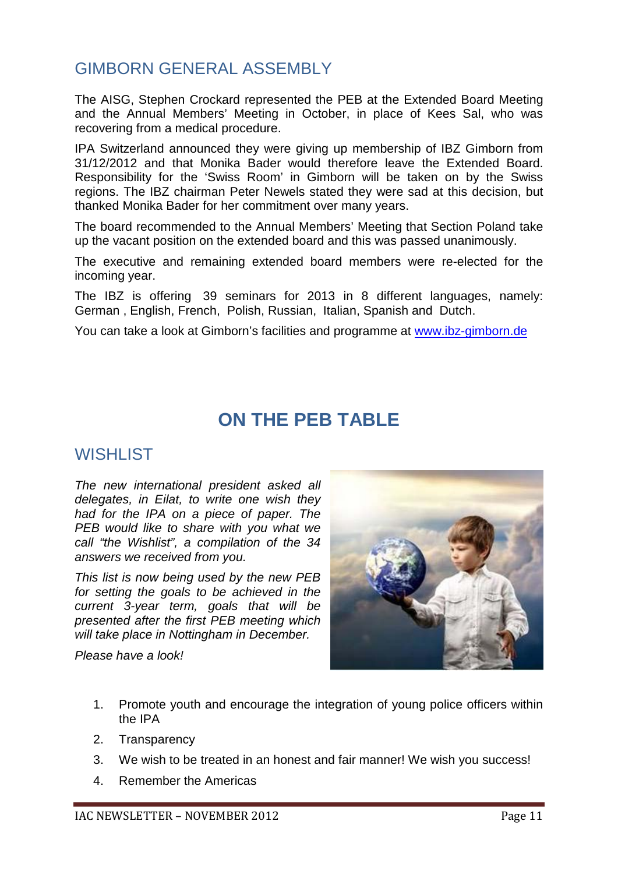### GIMBORN GENERAL ASSEMBLY

The AISG, Stephen Crockard represented the PEB at the Extended Board Meeting and the Annual Members' Meeting in October, in place of Kees Sal, who was recovering from a medical procedure.

IPA Switzerland announced they were giving up membership of IBZ Gimborn from 31/12/2012 and that Monika Bader would therefore leave the Extended Board. Responsibility for the 'Swiss Room' in Gimborn will be taken on by the Swiss regions. The IBZ chairman Peter Newels stated they were sad at this decision, but thanked Monika Bader for her commitment over many years.

The board recommended to the Annual Members' Meeting that Section Poland take up the vacant position on the extended board and this was passed unanimously.

The executive and remaining extended board members were re-elected for the incoming year.

The IBZ is offering 39 seminars for 2013 in 8 different languages, namely: German , English, French, Polish, Russian, Italian, Spanish and Dutch.

You can take a look at Gimborn's facilities and programme at [www.ibz-gimborn.de](http://www.ibz-gimborn.de/)

### **ON THE PEB TABLE**

#### WISHI IST

*The new international president asked all delegates, in Eilat, to write one wish they had for the IPA on a piece of paper. The PEB would like to share with you what we call "the Wishlist", a compilation of the 34 answers we received from you.* 

*This list is now being used by the new PEB for setting the goals to be achieved in the current 3-year term, goals that will be presented after the first PEB meeting which will take place in Nottingham in December.* 

*Please have a look!*

- 1. Promote youth and encourage the integration of young police officers within the IPA
- 2. Transparency
- 3. We wish to be treated in an honest and fair manner! We wish you success!
- 4. Remember the Americas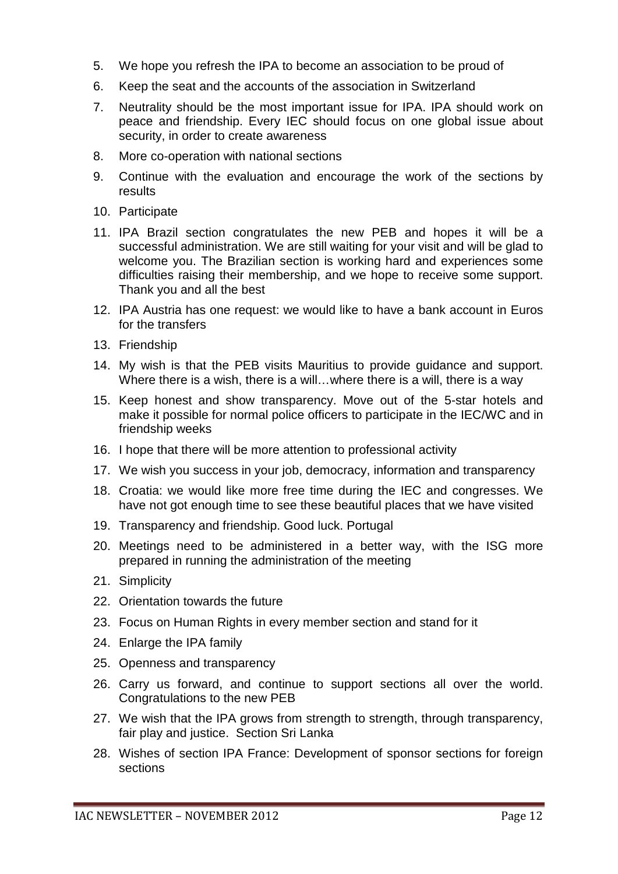- 5. We hope you refresh the IPA to become an association to be proud of
- 6. Keep the seat and the accounts of the association in Switzerland
- 7. Neutrality should be the most important issue for IPA. IPA should work on peace and friendship. Every IEC should focus on one global issue about security, in order to create awareness
- 8. More co-operation with national sections
- 9. Continue with the evaluation and encourage the work of the sections by results
- 10. Participate
- 11. IPA Brazil section congratulates the new PEB and hopes it will be a successful administration. We are still waiting for your visit and will be glad to welcome you. The Brazilian section is working hard and experiences some difficulties raising their membership, and we hope to receive some support. Thank you and all the best
- 12. IPA Austria has one request: we would like to have a bank account in Euros for the transfers
- 13. Friendship
- 14. My wish is that the PEB visits Mauritius to provide guidance and support. Where there is a wish, there is a will...where there is a will, there is a way
- 15. Keep honest and show transparency. Move out of the 5-star hotels and make it possible for normal police officers to participate in the IEC/WC and in friendship weeks
- 16. I hope that there will be more attention to professional activity
- 17. We wish you success in your job, democracy, information and transparency
- 18. Croatia: we would like more free time during the IEC and congresses. We have not got enough time to see these beautiful places that we have visited
- 19. Transparency and friendship. Good luck. Portugal
- 20. Meetings need to be administered in a better way, with the ISG more prepared in running the administration of the meeting
- 21. Simplicity
- 22. Orientation towards the future
- 23. Focus on Human Rights in every member section and stand for it
- 24. Enlarge the IPA family
- 25. Openness and transparency
- 26. Carry us forward, and continue to support sections all over the world. Congratulations to the new PEB
- 27. We wish that the IPA grows from strength to strength, through transparency, fair play and justice. Section Sri Lanka
- 28. Wishes of section IPA France: Development of sponsor sections for foreign sections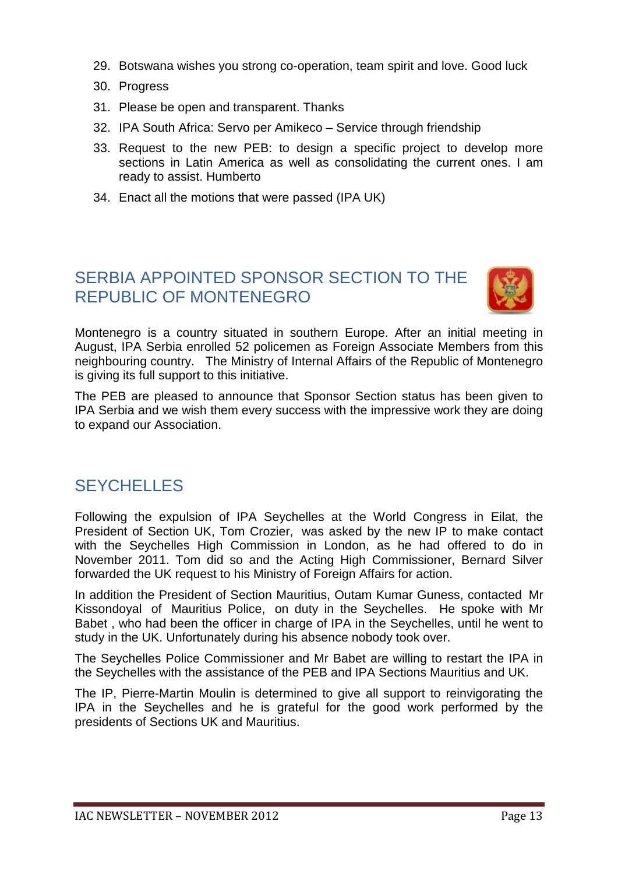- 29. Botswana wishes you strong co-operation, team spirit and love. Good luck
- 30. Progress
- 31. Please be open and transparent. Thanks
- 32. IPA South Africa: Servo per Amikeco Service through friendship
- 33. Request to the new PEB: to design a specific project to develop more sections in Latin America as well as consolidating the current ones. I am ready to assist. Humberto
- 34. Enact all the motions that were passed (IPA UK)

#### SERBIA APPOINTED SPONSOR SECTION TO THE REPUBLIC OF MONTENEGRO



Montenegro is a country situated in southern Europe. After an initial meeting in August, IPA Serbia enrolled 52 policemen as Foreign Associate Members from this neighbouring country. The Ministry of Internal Affairs of the Republic of Montenegro is giving its full support to this initiative.

The PEB are pleased to announce that Sponsor Section status has been given to IPA Serbia and we wish them every success with the impressive work they are doing to expand our Association.

#### **SEYCHELLES**

Following the expulsion of IPA Seychelles at the World Congress in Eilat, the President of Section UK, Tom Crozier, was asked by the new IP to make contact with the Seychelles High Commission in London, as he had offered to do in November 2011. Tom did so and the Acting High Commissioner, Bernard Silver forwarded the UK request to his Ministry of Foreign Affairs for action.

In addition the President of Section Mauritius, Outam Kumar Guness, contacted Mr Kissondoyal of Mauritius Police, on duty in the Seychelles. He spoke with Mr Babet , who had been the officer in charge of IPA in the Seychelles, until he went to study in the UK. Unfortunately during his absence nobody took over.

The Seychelles Police Commissioner and Mr Babet are willing to restart the IPA in the Seychelles with the assistance of the PEB and IPA Sections Mauritius and UK.

The IP, Pierre-Martin Moulin is determined to give all support to reinvigorating the IPA in the Seychelles and he is grateful for the good work performed by the presidents of Sections UK and Mauritius.